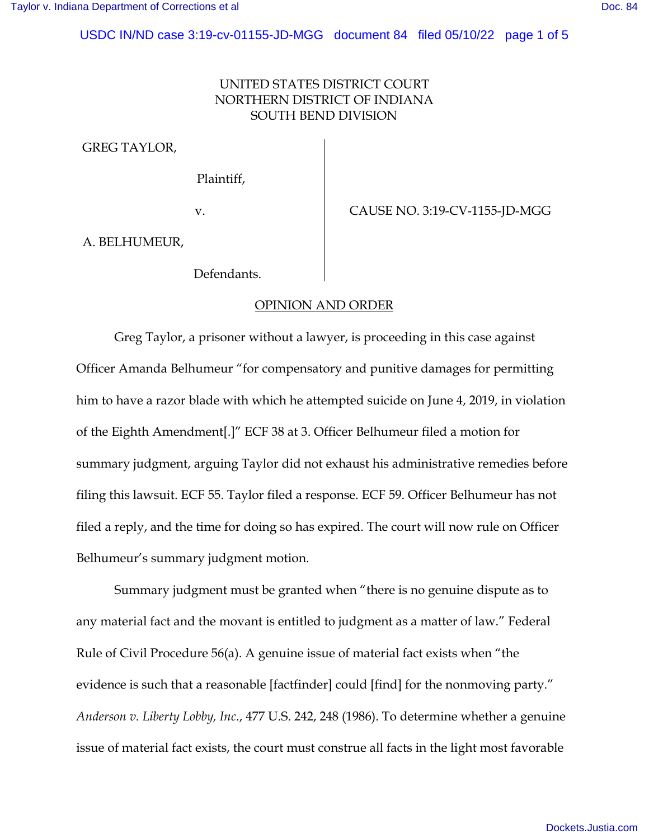USDC IN/ND case 3:19-cv-01155-JD-MGG document 84 filed 05/10/22 page 1 of 5

## UNITED STATES DISTRICT COURT NORTHERN DISTRICT OF INDIANA SOUTH BEND DIVISION

GREG TAYLOR,

Plaintiff,

v. <br>CAUSE NO. 3:19-CV-1155-JD-MGG

A. BELHUMEUR,

Defendants.

## OPINION AND ORDER

Greg Taylor, a prisoner without a lawyer, is proceeding in this case against Officer Amanda Belhumeur "for compensatory and punitive damages for permitting him to have a razor blade with which he attempted suicide on June 4, 2019, in violation of the Eighth Amendment[.]" ECF 38 at 3. Officer Belhumeur filed a motion for summary judgment, arguing Taylor did not exhaust his administrative remedies before filing this lawsuit. ECF 55. Taylor filed a response. ECF 59. Officer Belhumeur has not filed a reply, and the time for doing so has expired. The court will now rule on Officer Belhumeur's summary judgment motion.

Summary judgment must be granted when "there is no genuine dispute as to any material fact and the movant is entitled to judgment as a matter of law." Federal Rule of Civil Procedure 56(a). A genuine issue of material fact exists when "the evidence is such that a reasonable [factfinder] could [find] for the nonmoving party." *Anderson v. Liberty Lobby, Inc.*, 477 U.S. 242, 248 (1986). To determine whether a genuine issue of material fact exists, the court must construe all facts in the light most favorable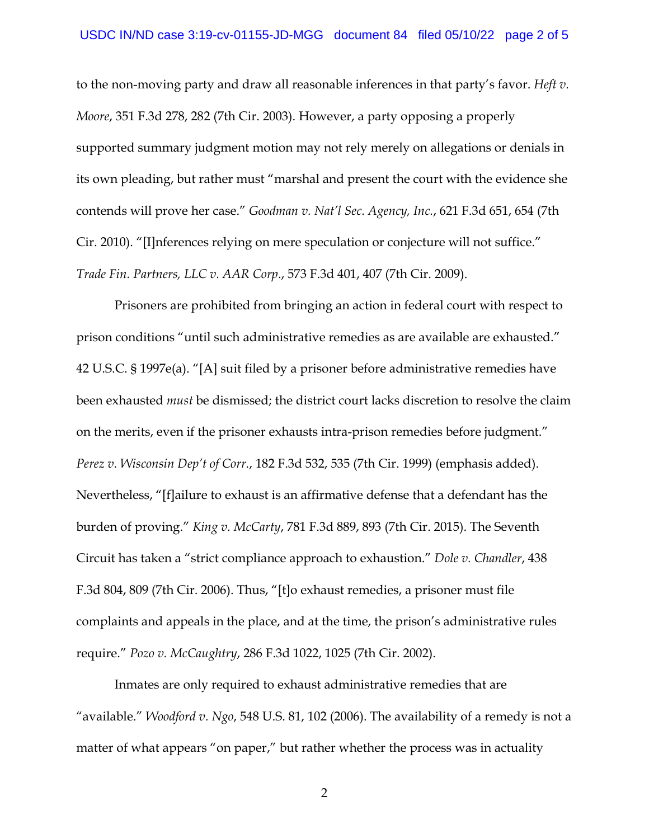to the non-moving party and draw all reasonable inferences in that party's favor. *Heft v. Moore*, 351 F.3d 278, 282 (7th Cir. 2003). However, a party opposing a properly supported summary judgment motion may not rely merely on allegations or denials in its own pleading, but rather must "marshal and present the court with the evidence she contends will prove her case." *Goodman v. Nat'l Sec. Agency, Inc.*, 621 F.3d 651, 654 (7th Cir. 2010). "[I]nferences relying on mere speculation or conjecture will not suffice." *Trade Fin. Partners, LLC v. AAR Corp*., 573 F.3d 401, 407 (7th Cir. 2009).

Prisoners are prohibited from bringing an action in federal court with respect to prison conditions "until such administrative remedies as are available are exhausted." 42 U.S.C. § 1997e(a). "[A] suit filed by a prisoner before administrative remedies have been exhausted *must* be dismissed; the district court lacks discretion to resolve the claim on the merits, even if the prisoner exhausts intra-prison remedies before judgment." *Perez v. Wisconsin Dep't of Corr.*, 182 F.3d 532, 535 (7th Cir. 1999) (emphasis added). Nevertheless, "[f]ailure to exhaust is an affirmative defense that a defendant has the burden of proving." *King v. McCarty*, 781 F.3d 889, 893 (7th Cir. 2015). The Seventh Circuit has taken a "strict compliance approach to exhaustion." *Dole v. Chandler*, 438 F.3d 804, 809 (7th Cir. 2006). Thus, "[t]o exhaust remedies, a prisoner must file complaints and appeals in the place, and at the time, the prison's administrative rules require." *Pozo v. McCaughtry*, 286 F.3d 1022, 1025 (7th Cir. 2002).

Inmates are only required to exhaust administrative remedies that are "available." *Woodford v. Ngo*, 548 U.S. 81, 102 (2006). The availability of a remedy is not a matter of what appears "on paper," but rather whether the process was in actuality

2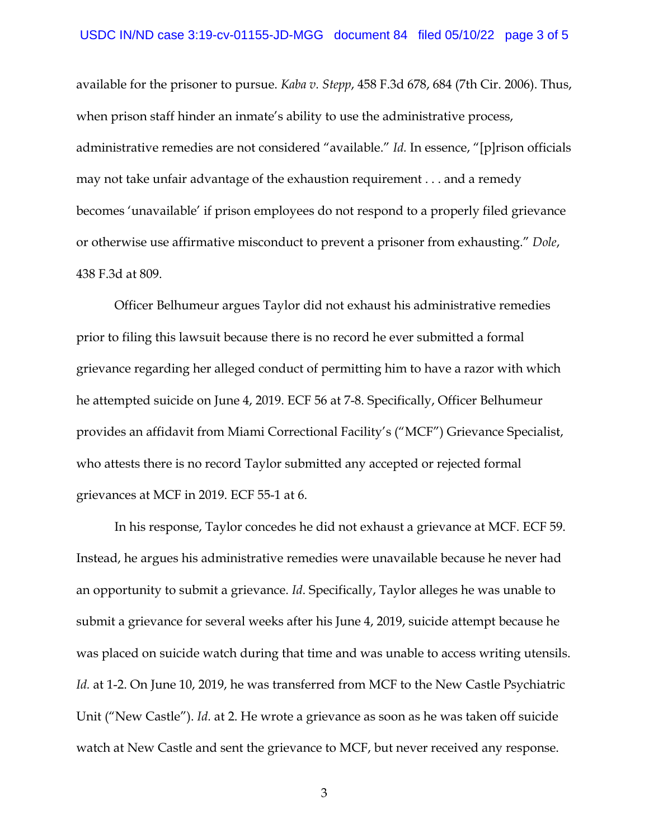available for the prisoner to pursue. *Kaba v. Stepp*, 458 F.3d 678, 684 (7th Cir. 2006). Thus, when prison staff hinder an inmate's ability to use the administrative process, administrative remedies are not considered "available." *Id.* In essence, "[p]rison officials may not take unfair advantage of the exhaustion requirement . . . and a remedy becomes 'unavailable' if prison employees do not respond to a properly filed grievance or otherwise use affirmative misconduct to prevent a prisoner from exhausting." *Dole*, 438 F.3d at 809.

Officer Belhumeur argues Taylor did not exhaust his administrative remedies prior to filing this lawsuit because there is no record he ever submitted a formal grievance regarding her alleged conduct of permitting him to have a razor with which he attempted suicide on June 4, 2019. ECF 56 at 7-8. Specifically, Officer Belhumeur provides an affidavit from Miami Correctional Facility's ("MCF") Grievance Specialist, who attests there is no record Taylor submitted any accepted or rejected formal grievances at MCF in 2019. ECF 55-1 at 6.

In his response, Taylor concedes he did not exhaust a grievance at MCF. ECF 59. Instead, he argues his administrative remedies were unavailable because he never had an opportunity to submit a grievance. *Id*. Specifically, Taylor alleges he was unable to submit a grievance for several weeks after his June 4, 2019, suicide attempt because he was placed on suicide watch during that time and was unable to access writing utensils. *Id.* at 1-2. On June 10, 2019, he was transferred from MCF to the New Castle Psychiatric Unit ("New Castle"). *Id.* at 2. He wrote a grievance as soon as he was taken off suicide watch at New Castle and sent the grievance to MCF, but never received any response.

3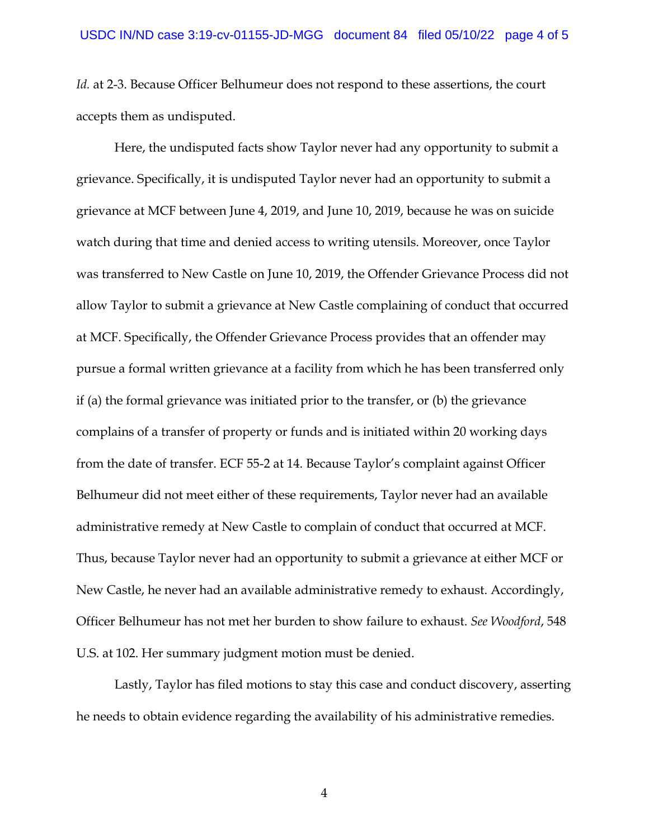*Id.* at 2-3. Because Officer Belhumeur does not respond to these assertions, the court accepts them as undisputed.

Here, the undisputed facts show Taylor never had any opportunity to submit a grievance. Specifically, it is undisputed Taylor never had an opportunity to submit a grievance at MCF between June 4, 2019, and June 10, 2019, because he was on suicide watch during that time and denied access to writing utensils. Moreover, once Taylor was transferred to New Castle on June 10, 2019, the Offender Grievance Process did not allow Taylor to submit a grievance at New Castle complaining of conduct that occurred at MCF. Specifically, the Offender Grievance Process provides that an offender may pursue a formal written grievance at a facility from which he has been transferred only if (a) the formal grievance was initiated prior to the transfer, or (b) the grievance complains of a transfer of property or funds and is initiated within 20 working days from the date of transfer. ECF 55-2 at 14. Because Taylor's complaint against Officer Belhumeur did not meet either of these requirements, Taylor never had an available administrative remedy at New Castle to complain of conduct that occurred at MCF. Thus, because Taylor never had an opportunity to submit a grievance at either MCF or New Castle, he never had an available administrative remedy to exhaust. Accordingly, Officer Belhumeur has not met her burden to show failure to exhaust. *See Woodford*, 548 U.S. at 102. Her summary judgment motion must be denied.

Lastly, Taylor has filed motions to stay this case and conduct discovery, asserting he needs to obtain evidence regarding the availability of his administrative remedies.

4